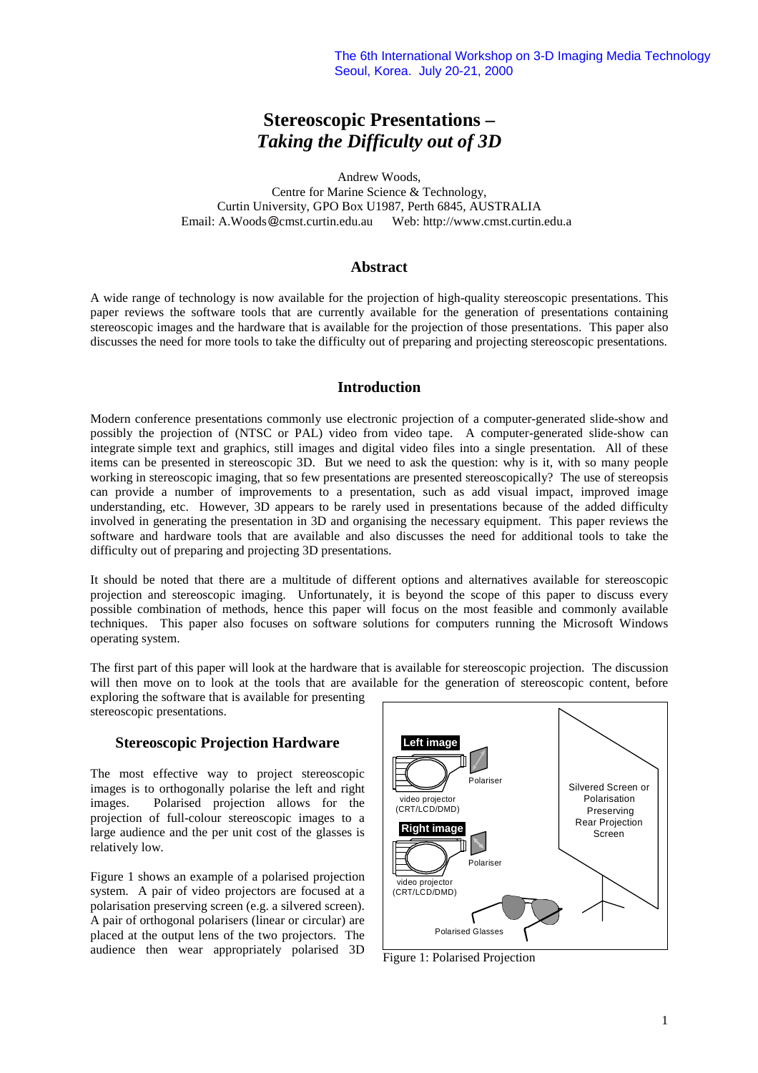# **Stereoscopic Presentations –** *Taking the Difficulty out of 3D*

Andrew Woods,

Centre for Marine Science & Technology, Curtin University, GPO Box U1987, Perth 6845, AUSTRALIA Email: A.Woods @cmst.curtin.edu.au Web: http://www.cmst.curtin.edu.a

# **Abstract**

A wide range of technology is now available for the projection of high-quality stereoscopic presentations. This paper reviews the software tools that are currently available for the generation of presentations containing stereoscopic images and the hardware that is available for the projection of those presentations. This paper also discusses the need for more tools to take the difficulty out of preparing and projecting stereoscopic presentations.

## **Introduction**

Modern conference presentations commonly use electronic projection of a computer-generated slide-show and possibly the projection of (NTSC or PAL) video from video tape. A computer-generated slide-show can integrate simple text and graphics, still images and digital video files into a single presentation. All of these items can be presented in stereoscopic 3D. But we need to ask the question: why is it, with so many people working in stereoscopic imaging, that so few presentations are presented stereoscopically? The use of stereopsis can provide a number of improvements to a presentation, such as add visual impact, improved image understanding, etc. However, 3D appears to be rarely used in presentations because of the added difficulty involved in generating the presentation in 3D and organising the necessary equipment. This paper reviews the software and hardware tools that are available and also discusses the need for additional tools to take the difficulty out of preparing and projecting 3D presentations.

It should be noted that there are a multitude of different options and alternatives available for stereoscopic projection and stereoscopic imaging. Unfortunately, it is beyond the scope of this paper to discuss every possible combination of methods, hence this paper will focus on the most feasible and commonly available techniques. This paper also focuses on software solutions for computers running the Microsoft Windows operating system.

The first part of this paper will look at the hardware that is available for stereoscopic projection. The discussion will then move on to look at the tools that are available for the generation of stereoscopic content, before

exploring the software that is available for presenting stereoscopic presentations.

#### **Stereoscopic Projection Hardware**

The most effective way to project stereoscopic images is to orthogonally polarise the left and right images. Polarised projection allows for the projection of full-colour stereoscopic images to a large audience and the per unit cost of the glasses is relatively low.

Figure 1 shows an example of a polarised projection system. A pair of video projectors are focused at a polarisation preserving screen (e.g. a silvered screen). A pair of orthogonal polarisers (linear or circular) are placed at the output lens of the two projectors. The audience then wear appropriately polarised 3D



Figure 1: Polarised Projection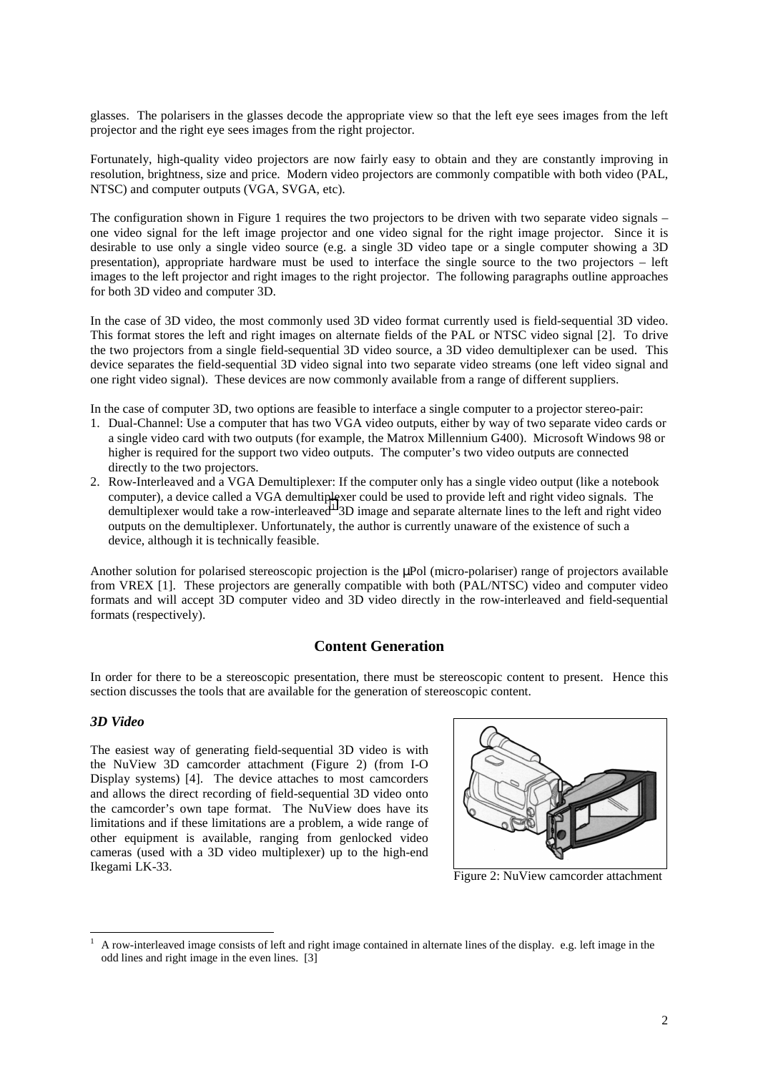glasses. The polarisers in the glasses decode the appropriate view so that the left eye sees images from the left projector and the right eye sees images from the right projector.

Fortunately, high-quality video projectors are now fairly easy to obtain and they are constantly improving in resolution, brightness, size and price. Modern video projectors are commonly compatible with both video (PAL, NTSC) and computer outputs (VGA, SVGA, etc).

The configuration shown in Figure 1 requires the two projectors to be driven with two separate video signals – one video signal for the left image projector and one video signal for the right image projector. Since it is desirable to use only a single video source (e.g. a single 3D video tape or a single computer showing a 3D presentation), appropriate hardware must be used to interface the single source to the two projectors – left images to the left projector and right images to the right projector. The following paragraphs outline approaches for both 3D video and computer 3D.

In the case of 3D video, the most commonly used 3D video format currently used is field-sequential 3D video. This format stores the left and right images on alternate fields of the PAL or NTSC video signal [2]. To drive the two projectors from a single field-sequential 3D video source, a 3D video demultiplexer can be used. This device separates the field-sequential 3D video signal into two separate video streams (one left video signal and one right video signal). These devices are now commonly available from a range of different suppliers.

In the case of computer 3D, two options are feasible to interface a single computer to a projector stereo-pair:

- 1. Dual-Channel: Use a computer that has two VGA video outputs, either by way of two separate video cards or a single video card with two outputs (for example, the Matrox Millennium G400). Microsoft Windows 98 or higher is required for the support two video outputs. The computer's two video outputs are connected directly to the two projectors.
- 2. Row-Interleaved and a VGA Demultiplexer: If the computer only has a single video output (like a notebook computer), a device called a VGA demultiplexer could be used to provide left and right video signals. The demultiplexer would take a row-interleaved<sup>1</sup> 3D image and separate alternate lines to the left and right video outputs on the demultiplexer. Unfortunately, the author is currently unaware of the existence of such a device, although it is technically feasible.

Another solution for polarised stereoscopic projection is the µPol (micro-polariser) range of projectors available from VREX [1]. These projectors are generally compatible with both (PAL/NTSC) video and computer video formats and will accept 3D computer video and 3D video directly in the row-interleaved and field-sequential formats (respectively).

## **Content Generation**

In order for there to be a stereoscopic presentation, there must be stereoscopic content to present. Hence this section discusses the tools that are available for the generation of stereoscopic content.

#### *3D Video*

The easiest way of generating field-sequential 3D video is with the NuView 3D camcorder attachment (Figure 2) (from I-O Display systems) [4]. The device attaches to most camcorders and allows the direct recording of field-sequential 3D video onto the camcorder's own tape format. The NuView does have its limitations and if these limitations are a problem, a wide range of other equipment is available, ranging from genlocked video cameras (used with a 3D video multiplexer) up to the high-end Ikegami LK-33.



Figure 2: NuView camcorder attachment

 $\overline{a}$ <sup>1</sup> A row-interleaved image consists of left and right image contained in alternate lines of the display. e.g. left image in the odd lines and right image in the even lines. [3]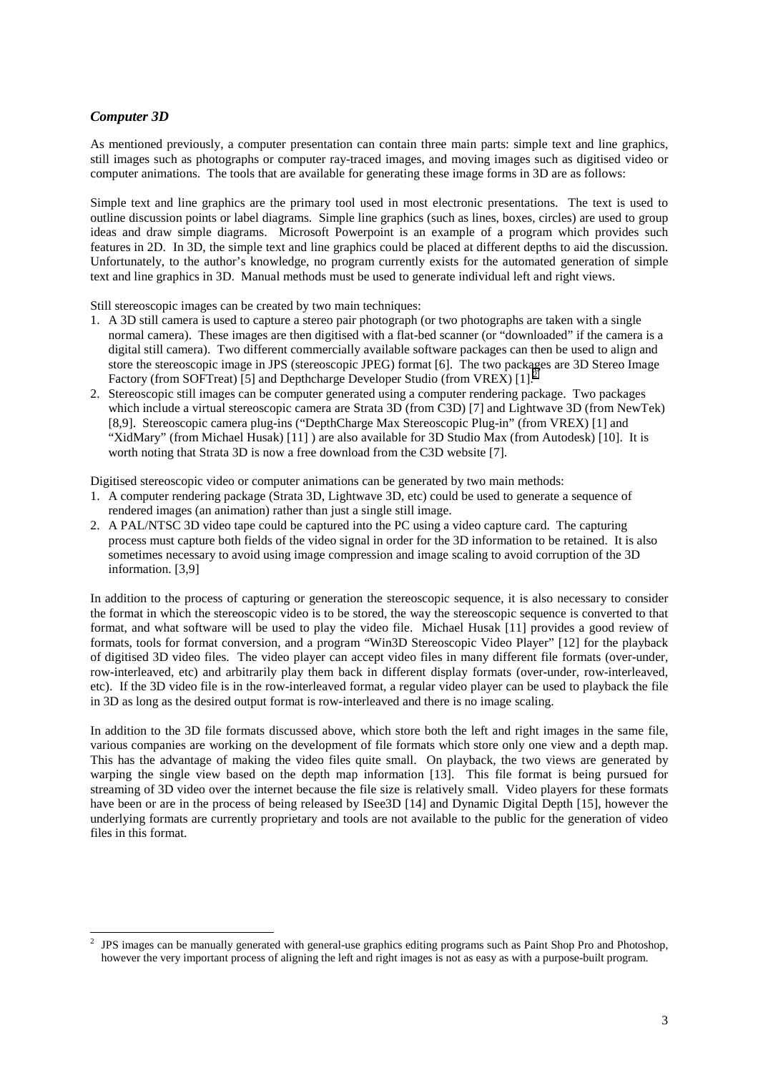## *Computer 3D*

 $\overline{a}$ 

As mentioned previously, a computer presentation can contain three main parts: simple text and line graphics, still images such as photographs or computer ray-traced images, and moving images such as digitised video or computer animations. The tools that are available for generating these image forms in 3D are as follows:

Simple text and line graphics are the primary tool used in most electronic presentations. The text is used to outline discussion points or label diagrams. Simple line graphics (such as lines, boxes, circles) are used to group ideas and draw simple diagrams. Microsoft Powerpoint is an example of a program which provides such features in 2D. In 3D, the simple text and line graphics could be placed at different depths to aid the discussion. Unfortunately, to the author's knowledge, no program currently exists for the automated generation of simple text and line graphics in 3D. Manual methods must be used to generate individual left and right views.

Still stereoscopic images can be created by two main techniques:

- 1. A 3D still camera is used to capture a stereo pair photograph (or two photographs are taken with a single normal camera). These images are then digitised with a flat-bed scanner (or "downloaded" if the camera is a digital still camera). Two different commercially available software packages can then be used to align and store the stereoscopic image in JPS (stereoscopic JPEG) format [6]. The two packages are 3D Stereo Image Factory (from SOFTreat) [5] and Depthcharge Developer Studio (from VREX) [1].
- 2. Stereoscopic still images can be computer generated using a computer rendering package. Two packages which include a virtual stereoscopic camera are Strata 3D (from C3D) [7] and Lightwave 3D (from NewTek) [8,9]. Stereoscopic camera plug-ins ("DepthCharge Max Stereoscopic Plug-in" (from VREX) [1] and "XidMary" (from Michael Husak) [11] ) are also available for 3D Studio Max (from Autodesk) [10]. It is worth noting that Strata 3D is now a free download from the C3D website [7].

Digitised stereoscopic video or computer animations can be generated by two main methods:

- 1. A computer rendering package (Strata 3D, Lightwave 3D, etc) could be used to generate a sequence of rendered images (an animation) rather than just a single still image.
- 2. A PAL/NTSC 3D video tape could be captured into the PC using a video capture card. The capturing process must capture both fields of the video signal in order for the 3D information to be retained. It is also sometimes necessary to avoid using image compression and image scaling to avoid corruption of the 3D information. [3,9]

In addition to the process of capturing or generation the stereoscopic sequence, it is also necessary to consider the format in which the stereoscopic video is to be stored, the way the stereoscopic sequence is converted to that format, and what software will be used to play the video file. Michael Husak [11] provides a good review of formats, tools for format conversion, and a program "Win3D Stereoscopic Video Player" [12] for the playback of digitised 3D video files. The video player can accept video files in many different file formats (over-under, row-interleaved, etc) and arbitrarily play them back in different display formats (over-under, row-interleaved, etc). If the 3D video file is in the row-interleaved format, a regular video player can be used to playback the file in 3D as long as the desired output format is row-interleaved and there is no image scaling.

In addition to the 3D file formats discussed above, which store both the left and right images in the same file, various companies are working on the development of file formats which store only one view and a depth map. This has the advantage of making the video files quite small. On playback, the two views are generated by warping the single view based on the depth map information [13]. This file format is being pursued for streaming of 3D video over the internet because the file size is relatively small. Video players for these formats have been or are in the process of being released by ISee3D [14] and Dynamic Digital Depth [15], however the underlying formats are currently proprietary and tools are not available to the public for the generation of video files in this format.

<sup>2</sup> JPS images can be manually generated with general-use graphics editing programs such as Paint Shop Pro and Photoshop, however the very important process of aligning the left and right images is not as easy as with a purpose-built program.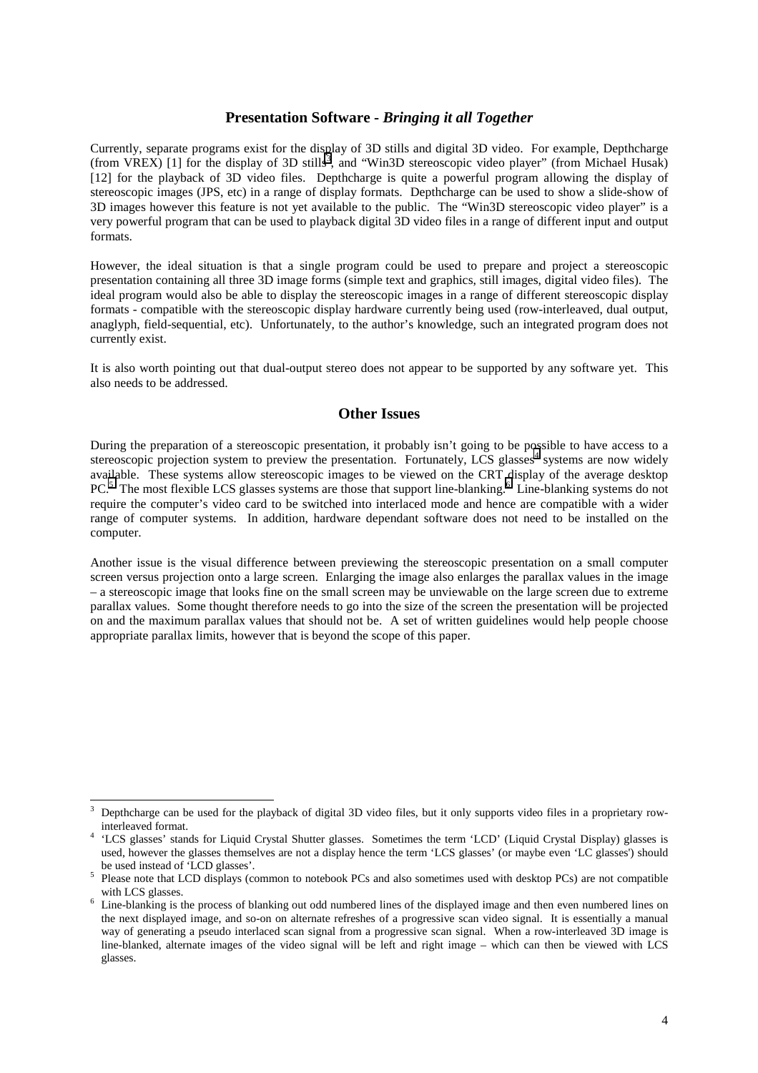## **Presentation Software -** *Bringing it all Together*

Currently, separate programs exist for the display of 3D stills and digital 3D video. For example, Depthcharge (from VREX) [1] for the display of 3D stills<sup>3</sup>, and "Win3D stereoscopic video player" (from Michael Husak) [12] for the playback of 3D video files. Depthcharge is quite a powerful program allowing the display of stereoscopic images (JPS, etc) in a range of display formats. Depthcharge can be used to show a slide-show of 3D images however this feature is not yet available to the public. The "Win3D stereoscopic video player" is a very powerful program that can be used to playback digital 3D video files in a range of different input and output formats.

However, the ideal situation is that a single program could be used to prepare and project a stereoscopic presentation containing all three 3D image forms (simple text and graphics, still images, digital video files). The ideal program would also be able to display the stereoscopic images in a range of different stereoscopic display formats - compatible with the stereoscopic display hardware currently being used (row-interleaved, dual output, anaglyph, field-sequential, etc). Unfortunately, to the author's knowledge, such an integrated program does not currently exist.

It is also worth pointing out that dual-output stereo does not appear to be supported by any software yet. This also needs to be addressed.

## **Other Issues**

During the preparation of a stereoscopic presentation, it probably isn't going to be possible to have access to a stereoscopic projection system to preview the presentation. Fortunately, LCS glasses<sup>4</sup> systems are now widely available. These systems allow stereoscopic images to be viewed on the CRT display of the average desktop PC.<sup>5</sup> The most flexible LCS glasses systems are those that support line-blanking.<sup>6</sup> Line-blanking systems do not require the computer's video card to be switched into interlaced mode and hence are compatible with a wider range of computer systems. In addition, hardware dependant software does not need to be installed on the computer.

Another issue is the visual difference between previewing the stereoscopic presentation on a small computer screen versus projection onto a large screen. Enlarging the image also enlarges the parallax values in the image – a stereoscopic image that looks fine on the small screen may be unviewable on the large screen due to extreme parallax values. Some thought therefore needs to go into the size of the screen the presentation will be projected on and the maximum parallax values that should not be. A set of written guidelines would help people choose appropriate parallax limits, however that is beyond the scope of this paper.

 $\overline{a}$ 

<sup>3</sup> Depthcharge can be used for the playback of digital 3D video files, but it only supports video files in a proprietary row-

interleaved format.<br>
4 'LCS glasses' stands for Liquid Crystal Shutter glasses. Sometimes the term 'LCD' (Liquid Crystal Display) glasses is used, however the glasses themselves are not a display hence the term 'LCS glasses' (or maybe even 'LC glasses') should

<sup>&</sup>lt;sup>5</sup> Please note that LCD displays (common to notebook PCs and also sometimes used with desktop PCs) are not compatible with LCS glasses.

<sup>&</sup>lt;sup>6</sup> Line-blanking is the process of blanking out odd numbered lines of the displayed image and then even numbered lines on the next displayed image, and so-on on alternate refreshes of a progressive scan video signal. It is essentially a manual way of generating a pseudo interlaced scan signal from a progressive scan signal. When a row-interleaved 3D image is line-blanked, alternate images of the video signal will be left and right image – which can then be viewed with LCS glasses.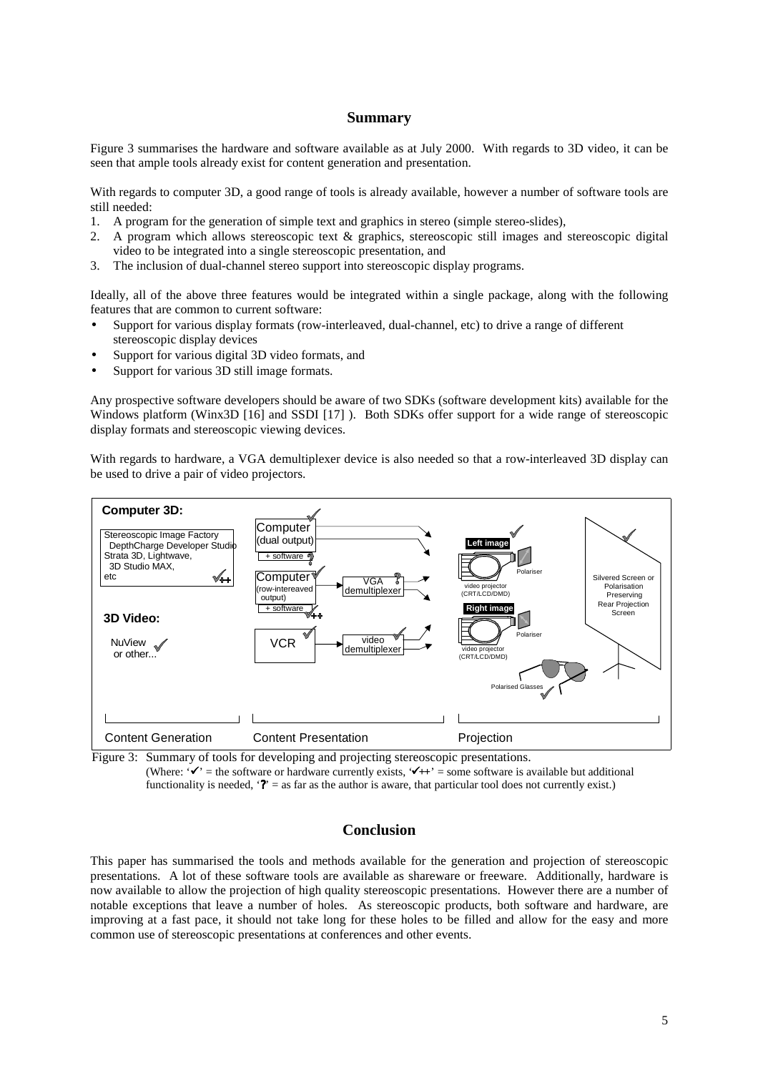#### **Summary**

Figure 3 summarises the hardware and software available as at July 2000. With regards to 3D video, it can be seen that ample tools already exist for content generation and presentation.

With regards to computer 3D, a good range of tools is already available, however a number of software tools are still needed:

- 1. A program for the generation of simple text and graphics in stereo (simple stereo-slides),
- 2. A program which allows stereoscopic text & graphics, stereoscopic still images and stereoscopic digital video to be integrated into a single stereoscopic presentation, and
- 3. The inclusion of dual-channel stereo support into stereoscopic display programs.

Ideally, all of the above three features would be integrated within a single package, along with the following features that are common to current software:

- Support for various display formats (row-interleaved, dual-channel, etc) to drive a range of different stereoscopic display devices
- Support for various digital 3D video formats, and
- Support for various 3D still image formats.

Any prospective software developers should be aware of two SDKs (software development kits) available for the Windows platform (Winx3D [16] and SSDI [17]). Both SDKs offer support for a wide range of stereoscopic display formats and stereoscopic viewing devices.

With regards to hardware, a VGA demultiplexer device is also needed so that a row-interleaved 3D display can be used to drive a pair of video projectors.



Figure 3: Summary of tools for developing and projecting stereoscopic presentations.

(Where:  $\mathbf{v}' =$  the software or hardware currently exists,  $\mathbf{v}' + \mathbf{v}' =$  some software is available but additional functionality is needed, '**?**' = as far as the author is aware, that particular tool does not currently exist.)

## **Conclusion**

This paper has summarised the tools and methods available for the generation and projection of stereoscopic presentations. A lot of these software tools are available as shareware or freeware. Additionally, hardware is now available to allow the projection of high quality stereoscopic presentations. However there are a number of notable exceptions that leave a number of holes. As stereoscopic products, both software and hardware, are improving at a fast pace, it should not take long for these holes to be filled and allow for the easy and more common use of stereoscopic presentations at conferences and other events.